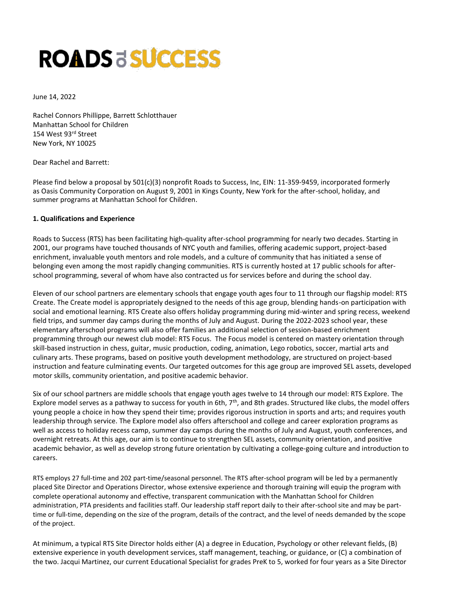# **ROADS & SUCCESS**

June 14, 2022

Rachel Connors Phillippe, Barrett Schlotthauer Manhattan School for Children 154 West 93rd Street New York, NY 10025

Dear Rachel and Barrett:

Please find below a proposal by 501(c)(3) nonprofit Roads to Success, Inc, EIN: 11-359-9459, incorporated formerly as Oasis Community Corporation on August 9, 2001 in Kings County, New York for the after-school, holiday, and summer programs at Manhattan School for Children.

#### **1. Qualifications and Experience**

Roads to Success (RTS) has been facilitating high-quality after-school programming for nearly two decades. Starting in 2001, our programs have touched thousands of NYC youth and families, offering academic support, project-based enrichment, invaluable youth mentors and role models, and a culture of community that has initiated a sense of belonging even among the most rapidly changing communities. RTS is currently hosted at 17 public schools for afterschool programming, several of whom have also contracted us for services before and during the school day.

Eleven of our school partners are elementary schools that engage youth ages four to 11 through our flagship model: RTS Create. The Create model is appropriately designed to the needs of this age group, blending hands-on participation with social and emotional learning. RTS Create also offers holiday programming during mid-winter and spring recess, weekend field trips, and summer day camps during the months of July and August. During the 2022-2023 school year, these elementary afterschool programs will also offer families an additional selection of session-based enrichment programming through our newest club model: RTS Focus. The Focus model is centered on mastery orientation through skill-based instruction in chess, guitar, music production, coding, animation, Lego robotics, soccer, martial arts and culinary arts. These programs, based on positive youth development methodology, are structured on project-based instruction and feature culminating events. Our targeted outcomes for this age group are improved SEL assets, developed motor skills, community orientation, and positive academic behavior.

Six of our school partners are middle schools that engage youth ages twelve to 14 through our model: RTS Explore. The Explore model serves as a pathway to success for youth in 6th,  $7<sup>th</sup>$ , and 8th grades. Structured like clubs, the model offers young people a choice in how they spend their time; provides rigorous instruction in sports and arts; and requires youth leadership through service. The Explore model also offers afterschool and college and career exploration programs as well as access to holiday recess camp, summer day camps during the months of July and August, youth conferences, and overnight retreats. At this age, our aim is to continue to strengthen SEL assets, community orientation, and positive academic behavior, as well as develop strong future orientation by cultivating a college-going culture and introduction to careers.

RTS employs 27 full-time and 202 part-time/seasonal personnel. The RTS after-school program will be led by a permanently placed Site Director and Operations Director, whose extensive experience and thorough training will equip the program with complete operational autonomy and effective, transparent communication with the Manhattan School for Children administration, PTA presidents and facilities staff. Our leadership staff report daily to their after-school site and may be parttime or full-time, depending on the size of the program, details of the contract, and the level of needs demanded by the scope of the project.

At minimum, a typical RTS Site Director holds either (A) a degree in Education, Psychology or other relevant fields, (B) extensive experience in youth development services, staff management, teaching, or guidance, or (C) a combination of the two. Jacqui Martinez, our current Educational Specialist for grades PreK to 5, worked for four years as a Site Director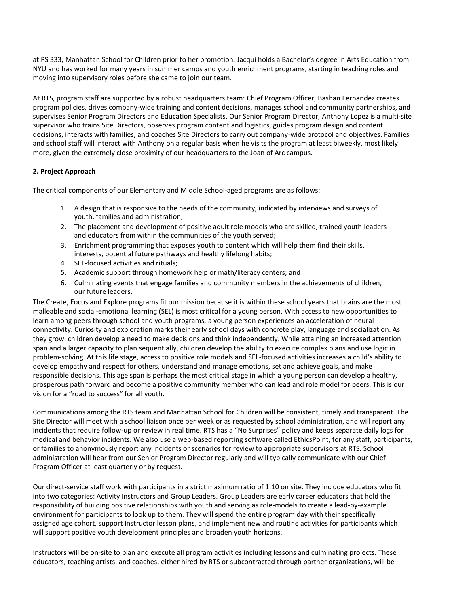at PS 333, Manhattan School for Children prior to her promotion. Jacqui holds a Bachelor's degree in Arts Education from NYU and has worked for many years in summer camps and youth enrichment programs, starting in teaching roles and moving into supervisory roles before she came to join our team.

At RTS, program staff are supported by a robust headquarters team: Chief Program Officer, Bashan Fernandez creates program policies, drives company-wide training and content decisions, manages school and community partnerships, and supervises Senior Program Directors and Education Specialists. Our Senior Program Director, Anthony Lopez is a multi-site supervisor who trains Site Directors, observes program content and logistics, guides program design and content decisions, interacts with families, and coaches Site Directors to carry out company-wide protocol and objectives. Families and school staff will interact with Anthony on a regular basis when he visits the program at least biweekly, most likely more, given the extremely close proximity of our headquarters to the Joan of Arc campus.

#### **2. Project Approach**

The critical components of our Elementary and Middle School-aged programs are as follows:

- 1. A design that is responsive to the needs of the community, indicated by interviews and surveys of youth, families and administration;
- 2. The placement and development of positive adult role models who are skilled, trained youth leaders and educators from within the communities of the youth served;
- 3. Enrichment programming that exposes youth to content which will help them find their skills, interests, potential future pathways and healthy lifelong habits;
- 4. SEL-focused activities and rituals;
- 5. Academic support through homework help or math/literacy centers; and
- 6. Culminating events that engage families and community members in the achievements of children, our future leaders.

The Create, Focus and Explore programs fit our mission because it is within these school years that brains are the most malleable and social-emotional learning (SEL) is most critical for a young person. With access to new opportunities to learn among peers through school and youth programs, a young person experiences an acceleration of neural connectivity. Curiosity and exploration marks their early school days with concrete play, language and socialization. As they grow, children develop a need to make decisions and think independently. While attaining an increased attention span and a larger capacity to plan sequentially, children develop the ability to execute complex plans and use logic in problem-solving. At this life stage, access to positive role models and SEL-focused activities increases a child's ability to develop empathy and respect for others, understand and manage emotions, set and achieve goals, and make responsible decisions. This age span is perhaps the most critical stage in which a young person can develop a healthy, prosperous path forward and become a positive community member who can lead and role model for peers. This is our vision for a "road to success" for all youth.

Communications among the RTS team and Manhattan School for Children will be consistent, timely and transparent. The Site Director will meet with a school liaison once per week or as requested by school administration, and will report any incidents that require follow-up or review in real time. RTS has a "No Surprises" policy and keeps separate daily logs for medical and behavior incidents. We also use a web-based reporting software called EthicsPoint, for any staff, participants, or families to anonymously report any incidents or scenarios for review to appropriate supervisors at RTS. School administration will hear from our Senior Program Director regularly and will typically communicate with our Chief Program Officer at least quarterly or by request.

Our direct-service staff work with participants in a strict maximum ratio of 1:10 on site. They include educators who fit into two categories: Activity Instructors and Group Leaders. Group Leaders are early career educators that hold the responsibility of building positive relationships with youth and serving as role-models to create a lead-by-example environment for participants to look up to them. They will spend the entire program day with their specifically assigned age cohort, support Instructor lesson plans, and implement new and routine activities for participants which will support positive youth development principles and broaden youth horizons.

Instructors will be on-site to plan and execute all program activities including lessons and culminating projects. These educators, teaching artists, and coaches, either hired by RTS or subcontracted through partner organizations, will be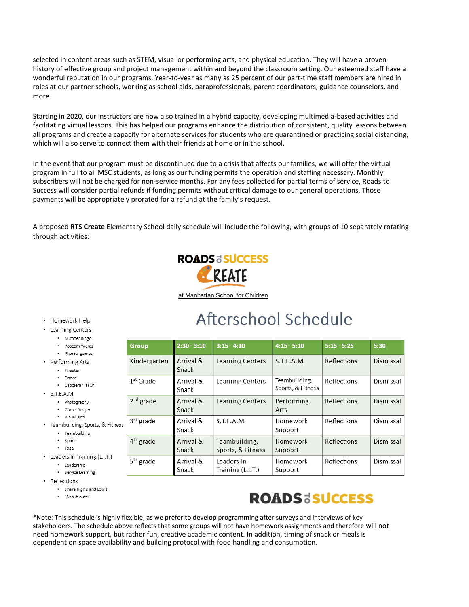selected in content areas such as STEM, visual or performing arts, and physical education. They will have a proven history of effective group and project management within and beyond the classroom setting. Our esteemed staff have a wonderful reputation in our programs. Year-to-year as many as 25 percent of our part-time staff members are hired in roles at our partner schools, working as school aids, paraprofessionals, parent coordinators, guidance counselors, and more.

Starting in 2020, our instructors are now also trained in a hybrid capacity, developing multimedia-based activities and facilitating virtual lessons. This has helped our programs enhance the distribution of consistent, quality lessons between all programs and create a capacity for alternate services for students who are quarantined or practicing social distancing, which will also serve to connect them with their friends at home or in the school.

In the event that our program must be discontinued due to a crisis that affects our families, we will offer the virtual program in full to all MSC students, as long as our funding permits the operation and staffing necessary. Monthly subscribers will not be charged for non-service months. For any fees collected for partial terms of service, Roads to Success will consider partial refunds if funding permits without critical damage to our general operations. Those payments will be appropriately prorated for a refund at the family's request.

A proposed RTS Create Elementary School daily schedule will include the following, with groups of 10 separately rotating through activities:



at Manhattan School for Children

#### • Homework Help

- Learning Centers
	- · Number Bingo
	- · Popcorn Words
	- Phonics games
- Performing Arts
	- Theater
	- · Dance • Capoiera/Tai Chi
	-
- $\cdot$  S.T.E.A.M.
	- Photography · Game Design
	- Visual Arts
- Teambuilding, Sports, & Fitness
	- Teambuilding
	- · Sports
	- Yoga
- Leaders In Training (L.I.T.)
	- · Leadership · Service Learning
- Reflections
	- · Share High's and Low's
		- "Shout-outs"
	-

## Afterschool Schedule

| <b>Group</b>          | $2:30 - 3:10$      | $3:15 - 4:10$                      | $4:15 - 5:10$                      | $5:15 - 5:25$ | 5:30      |
|-----------------------|--------------------|------------------------------------|------------------------------------|---------------|-----------|
| Kindergarten          | Arrival &<br>Snack | Learning Centers                   | S.T.E.A.M.                         | Reflections   | Dismissal |
| $1st$ Grade           | Arrival &<br>Snack | Learning Centers                   | Teambuilding,<br>Sports, & Fitness | Reflections   | Dismissal |
| $2nd$ grade           | Arrival &<br>Snack | Learning Centers                   | Performing<br>Arts                 | Reflections   | Dismissal |
| 3rd grade             | Arrival &<br>Snack | S.T.E.A.M.                         | Homework<br>Support                | Reflections   | Dismissal |
| $4th$ grade           | Arrival &<br>Snack | Teambuilding,<br>Sports, & Fitness | Homework<br>Support                | Reflections   | Dismissal |
| 5 <sup>th</sup> grade | Arrival &<br>Snack | Leaders-In-<br>Training (L.I.T.)   | Homework<br>Support                | Reflections   | Dismissal |

### **ROADSESUCCESS**

\*Note: This schedule is highly flexible, as we prefer to develop programming after surveys and interviews of key stakeholders. The schedule above reflects that some groups will not have homework assignments and therefore will not need homework support, but rather fun, creative academic content. In addition, timing of snack or meals is dependent on space availability and building protocol with food handling and consumption.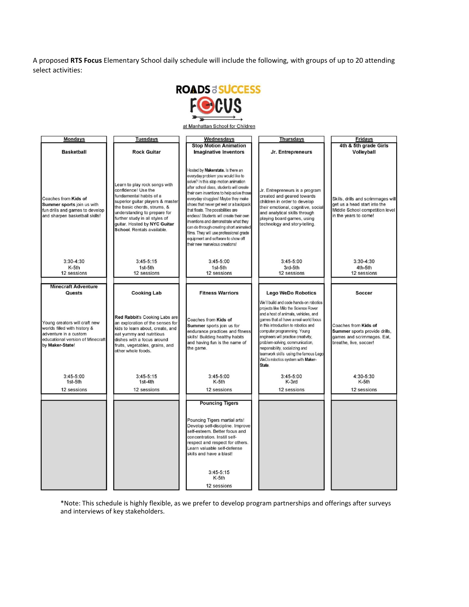A proposed **RTS Focus** Elementary School daily schedule will include the following, with groups of up to 20 attending select activities:



\*Note: This schedule is highly flexible, as we prefer to develop program partnerships and offerings after surveys and interviews of key stakeholders.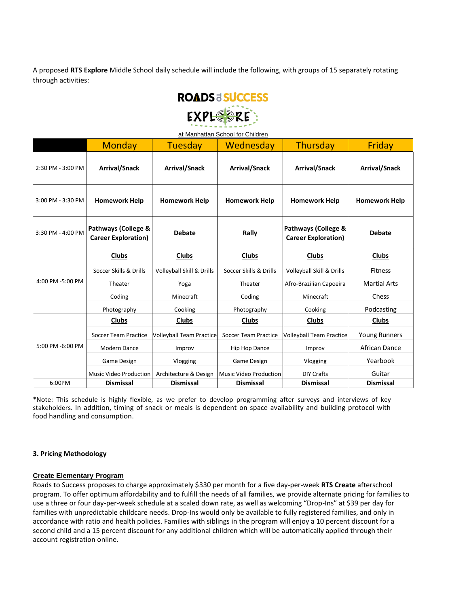A proposed **RTS Explore** Middle School daily schedule will include the following, with groups of 15 separately rotating through activities:



| at Manhattan School for Children |                                                   |                                 |                               |                                                   |                      |  |  |  |  |
|----------------------------------|---------------------------------------------------|---------------------------------|-------------------------------|---------------------------------------------------|----------------------|--|--|--|--|
|                                  | <b>Monday</b>                                     | Tuesday                         | Wednesday                     | Thursday                                          | Friday               |  |  |  |  |
| 2:30 PM - 3:00 PM                | <b>Arrival/Snack</b>                              | <b>Arrival/Snack</b>            | <b>Arrival/Snack</b>          | <b>Arrival/Snack</b>                              | <b>Arrival/Snack</b> |  |  |  |  |
| 3:00 PM - 3:30 PM                | <b>Homework Help</b>                              | <b>Homework Help</b>            | <b>Homework Help</b>          | <b>Homework Help</b>                              | <b>Homework Help</b> |  |  |  |  |
| 3:30 PM - 4:00 PM                | Pathways (College &<br><b>Career Exploration)</b> | <b>Debate</b>                   | Rally                         | Pathways (College &<br><b>Career Exploration)</b> | <b>Debate</b>        |  |  |  |  |
| 4:00 PM -5:00 PM                 | Clubs                                             | <b>Clubs</b>                    | Clubs                         | <b>Clubs</b>                                      | Clubs                |  |  |  |  |
|                                  | Soccer Skills & Drills                            | Volleyball Skill & Drills       | Soccer Skills & Drills        | Volleyball Skill & Drills                         | <b>Fitness</b>       |  |  |  |  |
|                                  | Theater                                           | Yoga                            | Theater                       | Afro-Brazilian Capoeira                           | <b>Martial Arts</b>  |  |  |  |  |
|                                  | Coding                                            | Minecraft                       | Coding                        | Minecraft                                         | Chess                |  |  |  |  |
|                                  | Photography                                       | Cooking                         | Photography                   | Cooking                                           | Podcasting           |  |  |  |  |
| 5:00 PM -6:00 PM                 | Clubs                                             | <b>Clubs</b>                    | <b>Clubs</b>                  | <b>Clubs</b>                                      | <b>Clubs</b>         |  |  |  |  |
|                                  | <b>Soccer Team Practice</b>                       | <b>Volleyball Team Practice</b> | Soccer Team Practice          | <b>Volleyball Team Practice</b>                   | <b>Young Runners</b> |  |  |  |  |
|                                  | Modern Dance                                      | Improv                          | <b>Hip Hop Dance</b>          | Improv                                            | African Dance        |  |  |  |  |
|                                  | Game Design                                       | Vlogging                        | Game Design                   | Vlogging                                          | Yearbook             |  |  |  |  |
|                                  | <b>Music Video Production</b>                     | Architecture & Design           | <b>Music Video Production</b> | <b>DIY Crafts</b>                                 | Guitar               |  |  |  |  |
| 6:00PM                           | <b>Dismissal</b>                                  | <b>Dismissal</b>                | <b>Dismissal</b>              | <b>Dismissal</b>                                  | <b>Dismissal</b>     |  |  |  |  |

\*Note: This schedule is highly flexible, as we prefer to develop programming after surveys and interviews of key stakeholders. In addition, timing of snack or meals is dependent on space availability and building protocol with food handling and consumption.

#### **3. Pricing Methodology**

#### **Create Elementary Program**

Roads to Success proposes to charge approximately \$330 per month for a five day-per-week **RTS Create** afterschool program. To offer optimum affordability and to fulfill the needs of all families, we provide alternate pricing for families to use a three or four day-per-week schedule at a scaled down rate, as well as welcoming "Drop-Ins" at \$39 per day for families with unpredictable childcare needs. Drop-Ins would only be available to fully registered families, and only in accordance with ratio and health policies. Families with siblings in the program will enjoy a 10 percent discount for a second child and a 15 percent discount for any additional children which will be automatically applied through their account registration online.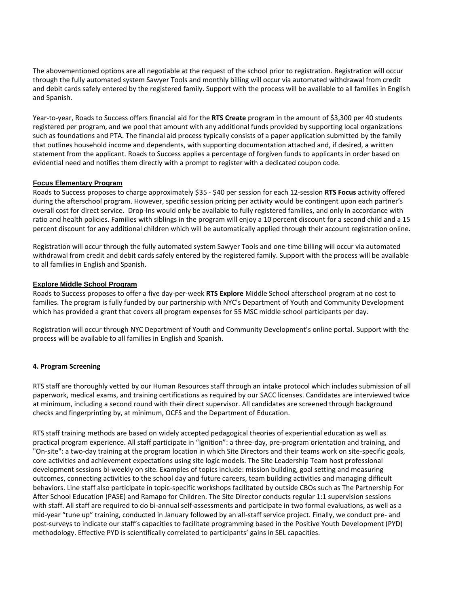The abovementioned options are all negotiable at the request of the school prior to registration. Registration will occur through the fully automated system Sawyer Tools and monthly billing will occur via automated withdrawal from credit and debit cards safely entered by the registered family. Support with the process will be available to all families in English and Spanish.

Year-to-year, Roads to Success offers financial aid for the **RTS Create** program in the amount of \$3,300 per 40 students registered per program, and we pool that amount with any additional funds provided by supporting local organizations such as foundations and PTA. The financial aid process typically consists of a paper application submitted by the family that outlines household income and dependents, with supporting documentation attached and, if desired, a written statement from the applicant. Roads to Success applies a percentage of forgiven funds to applicants in order based on evidential need and notifies them directly with a prompt to register with a dedicated coupon code.

#### **Focus Elementary Program**

Roads to Success proposes to charge approximately \$35 - \$40 per session for each 12-session **RTS Focus** activity offered during the afterschool program. However, specific session pricing per activity would be contingent upon each partner's overall cost for direct service. Drop-Ins would only be available to fully registered families, and only in accordance with ratio and health policies. Families with siblings in the program will enjoy a 10 percent discount for a second child and a 15 percent discount for any additional children which will be automatically applied through their account registration online.

Registration will occur through the fully automated system Sawyer Tools and one-time billing will occur via automated withdrawal from credit and debit cards safely entered by the registered family. Support with the process will be available to all families in English and Spanish.

#### **Explore Middle School Program**

Roads to Success proposes to offer a five day-per-week **RTS Explore** Middle School afterschool program at no cost to families. The program is fully funded by our partnership with NYC's Department of Youth and Community Development which has provided a grant that covers all program expenses for 55 MSC middle school participants per day.

Registration will occur through NYC Department of Youth and Community Development's online portal. Support with the process will be available to all families in English and Spanish.

#### **4. Program Screening**

RTS staff are thoroughly vetted by our Human Resources staff through an intake protocol which includes submission of all paperwork, medical exams, and training certifications as required by our SACC licenses. Candidates are interviewed twice at minimum, including a second round with their direct supervisor. All candidates are screened through background checks and fingerprinting by, at minimum, OCFS and the Department of Education.

RTS staff training methods are based on widely accepted pedagogical theories of experiential education as well as practical program experience. All staff participate in "Ignition": a three-day, pre-program orientation and training, and "On-site": a two-day training at the program location in which Site Directors and their teams work on site-specific goals, core activities and achievement expectations using site logic models. The Site Leadership Team host professional development sessions bi-weekly on site. Examples of topics include: mission building, goal setting and measuring outcomes, connecting activities to the school day and future careers, team building activities and managing difficult behaviors. Line staff also participate in topic-specific workshops facilitated by outside CBOs such as The Partnership For After School Education (PASE) and Ramapo for Children. The Site Director conducts regular 1:1 supervision sessions with staff. All staff are required to do bi-annual self-assessments and participate in two formal evaluations, as well as a mid-year "tune up" training, conducted in January followed by an all-staff service project. Finally, we conduct pre- and post-surveys to indicate our staff's capacities to facilitate programming based in the Positive Youth Development (PYD) methodology. Effective PYD is scientifically correlated to participants' gains in SEL capacities.